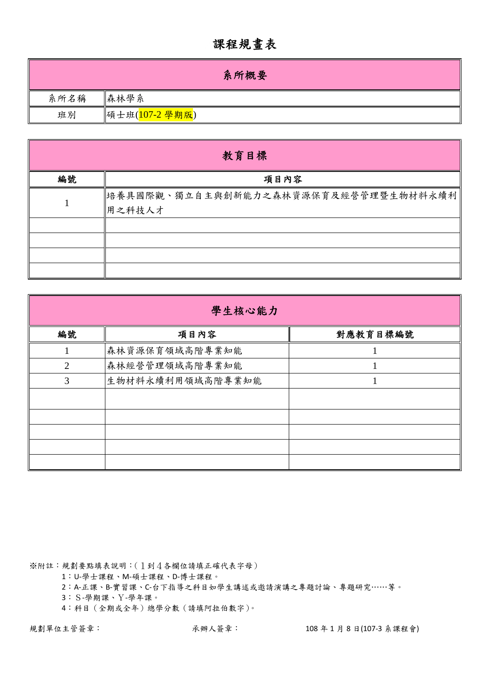## 課程規畫表

|      | 系所概要           |
|------|----------------|
| 系所名稱 | 森林學系           |
| 班別   | 碩士班(107-2 學期版) |

| 教育目標 |                                                 |  |  |  |  |  |  |  |
|------|-------------------------------------------------|--|--|--|--|--|--|--|
| 編號   | 項目內容                                            |  |  |  |  |  |  |  |
|      | 培養具國際觀、獨立自主與創新能力之森林資源保育及經營管理暨生物材料永續利 <br>用之科技人才 |  |  |  |  |  |  |  |
|      |                                                 |  |  |  |  |  |  |  |
|      |                                                 |  |  |  |  |  |  |  |
|      |                                                 |  |  |  |  |  |  |  |
|      |                                                 |  |  |  |  |  |  |  |

|                | 學生核心能力           |          |  |  |  |  |  |  |  |
|----------------|------------------|----------|--|--|--|--|--|--|--|
| 編號             | 項目內容             | 對應教育目標編號 |  |  |  |  |  |  |  |
|                | 森林資源保育領域高階專業知能   |          |  |  |  |  |  |  |  |
| $\overline{2}$ | 森林經營管理領域高階專業知能   |          |  |  |  |  |  |  |  |
| 3              | 生物材料永續利用領域高階專業知能 |          |  |  |  |  |  |  |  |
|                |                  |          |  |  |  |  |  |  |  |
|                |                  |          |  |  |  |  |  |  |  |
|                |                  |          |  |  |  |  |  |  |  |
|                |                  |          |  |  |  |  |  |  |  |
|                |                  |          |  |  |  |  |  |  |  |

※附註:規劃要點填表說明:(1到4各欄位請填正確代表字母)

1:U‐學士課程、M‐碩士課程、D‐博士課程。

2:A‐正課、B‐實習課、C‐台下指導之科目如學生講述或邀請演講之專題討論、專題研究……等。

3:S‐學期課、Y‐學年課。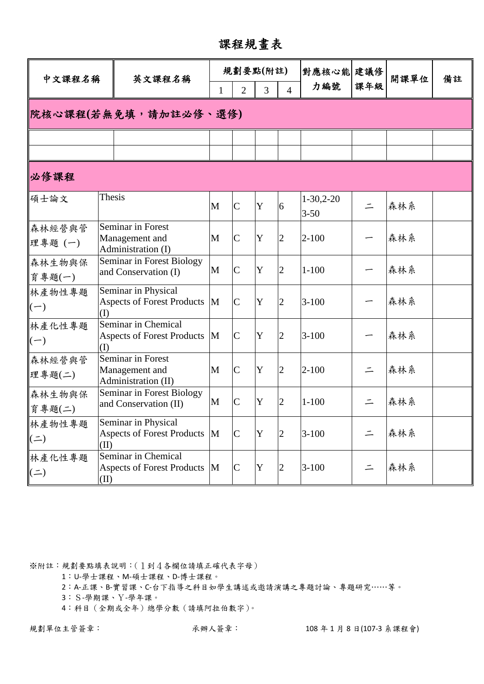課程規畫表

| 中文課程名稱                             |          | 英文課程名稱                                                     |              | 規劃要點(附註)       |   |                | 對應核心能  建議修              |          | 開課單位 |    |
|------------------------------------|----------|------------------------------------------------------------|--------------|----------------|---|----------------|-------------------------|----------|------|----|
|                                    |          |                                                            | 1            | $\overline{2}$ | 3 | $\overline{4}$ | 力編號                     | 課年級      |      | 備註 |
| 院核心課程(若無免填,請加註必修、選修)               |          |                                                            |              |                |   |                |                         |          |      |    |
|                                    |          |                                                            |              |                |   |                |                         |          |      |    |
|                                    |          |                                                            |              |                |   |                |                         |          |      |    |
| 必修課程                               |          |                                                            |              |                |   |                |                         |          |      |    |
| 碩士論文                               | Thesis   |                                                            | $\mathbf{M}$ | $\mathcal{C}$  | Y | 6              | $1-30,2-20$<br>$3 - 50$ | $\equiv$ | 森林系  |    |
| 森林經營與管<br>理專題(一)                   |          | Seminar in Forest<br>Management and<br>Administration (I)  | M            | $\mathcal{C}$  | Y | $\overline{2}$ | $2 - 100$               |          | 森林系  |    |
| 森林生物與保<br>育專題(一)                   |          | Seminar in Forest Biology<br>and Conservation (I)          | M            | $\mathcal{C}$  | Y | $\overline{2}$ | $1 - 100$               |          | 森林系  |    |
| 林產物性專題<br>$\left(\text{--}\right)$ | (I)      | Seminar in Physical<br><b>Aspects of Forest Products</b>   | M            | $\overline{C}$ | Y | $\overline{2}$ | $3 - 100$               |          | 森林系  |    |
| 林產化性專題<br>$\left(\text{--}\right)$ | $\rm(I)$ | Seminar in Chemical<br><b>Aspects of Forest Products</b>   | M            | $\mathsf{C}$   | Y | $\overline{2}$ | $3 - 100$               |          | 森林系  |    |
| 森林經營與管<br>理專題(二)                   |          | Seminar in Forest<br>Management and<br>Administration (II) | M            | $\overline{C}$ | Y | $\overline{2}$ | $2 - 100$               |          | 森林系  |    |
| 森林生物與保<br>育專題(二)                   |          | Seminar in Forest Biology<br>and Conservation (II)         | M            | $\overline{C}$ | Y | $\overline{2}$ | $1 - 100$               | $\equiv$ | 森林系  |    |
| 林產物性專題<br>$($ $\equiv$ $)$         | (II)     | Seminar in Physical<br>Aspects of Forest Products M        |              | $\mathsf{C}$   | Y | $\overline{2}$ | $3 - 100$               | $\equiv$ | 森林系  |    |
| 林產化性專題<br>$(=)$                    | (II)     | Seminar in Chemical<br>Aspects of Forest Products M        |              | $\mathsf{C}$   | Y |                | $3-100$                 |          | 森林系  |    |

1:U‐學士課程、M‐碩士課程、D‐博士課程。

2:A‐正課、B‐實習課、C‐台下指導之科目如學生講述或邀請演講之專題討論、專題研究……等。

3:S‐學期課、Y‐學年課。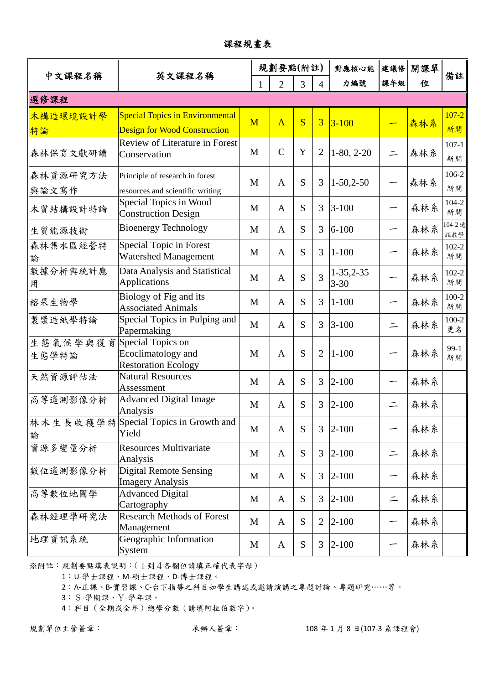| 中文課程名稱            | 英文課程名稱                                                                        |              | 規劃要點(附註)            |           |                | 對應核心能                   | 建議修      | 開課單 | 備註              |
|-------------------|-------------------------------------------------------------------------------|--------------|---------------------|-----------|----------------|-------------------------|----------|-----|-----------------|
|                   |                                                                               |              | $\overline{2}$<br>1 | 3         | $\overline{4}$ | 力編號                     | 課年級      | 位   |                 |
| 選修課程              |                                                                               |              |                     |           |                |                         |          |     |                 |
| 木構造環境設計學<br>特論    | <b>Special Topics in Environmental</b><br><b>Design for Wood Construction</b> | M            | $\overline{A}$      | S         | $\overline{3}$ | $3 - 100$               |          | 森林系 | $107 - 2$<br>新開 |
| 森林保育文獻研讀          | Review of Literature in Forest<br>Conservation                                | M            | $\mathcal{C}$       | Y         | $\overline{2}$ | $1-80, 2-20$            | $\equiv$ | 森林系 | $107-1$<br>新開   |
| 森林資源研究方法<br>與論文寫作 | Principle of research in forest<br>resources and scientific writing           | M            | $\mathbf{A}$        | S         | 3              | $1-50,2-50$             | —        | 森林系 | 106-2<br>新開     |
| 木質結構設計特論          | Special Topics in Wood<br><b>Construction Design</b>                          | M            | $\mathbf{A}$        | S         | $\overline{3}$ | $3 - 100$               |          | 森林系 | $104 - 2$<br>新開 |
| 生質能源技術            | <b>Bioenergy Technology</b>                                                   | M            | $\mathbf{A}$        | S         | 3              | $6 - 100$               | -        | 森林系 | 104-2 遠<br>距教學  |
| 森林集水區經營特<br>論     | Special Topic in Forest<br>Watershed Management                               | M            | $\mathbf{A}$        | S         | 3              | $1 - 100$               | —        | 森林系 | $102 - 2$<br>新開 |
| 數據分析與統計應<br>用     | Data Analysis and Statistical<br><b>Applications</b>                          | M            | $\mathbf{A}$        | S         | $\overline{3}$ | $1-35,2-35$<br>$3 - 30$ |          | 森林系 | $102 - 2$<br>新開 |
| 榕果生物學             | Biology of Fig and its<br><b>Associated Animals</b>                           | $\mathbf{M}$ | $\mathbf{A}$        | S         | 3              | $1 - 100$               |          | 森林系 | $100 - 2$<br>新開 |
| 製漿造紙學特論           | Special Topics in Pulping and<br>Papermaking                                  | M            | $\mathbf{A}$        | S         | 3              | $3 - 100$               | $\equiv$ | 森林系 | $100 - 2$<br>更名 |
| 生態氣候學與復育<br>生態學特論 | Special Topics on<br>Ecoclimatology and<br><b>Restoration Ecology</b>         | M            | $\mathbf{A}$        | S         | $\overline{2}$ | $1 - 100$               |          | 森林系 | $99-1$<br>新開    |
| 天然資源評估法           | <b>Natural Resources</b><br>Assessment                                        | M            | $\mathbf{A}$        | S         | 3              | $2 - 100$               | ∽        | 森林系 |                 |
| 高等遙測影像分析          | <b>Advanced Digital Image</b><br>Analysis                                     | M            | $\mathbf{A}$        | S         | 3              | $2 - 100$               | $\equiv$ | 森林系 |                 |
| 論                 | 林木生長收穫學特  Special Topics in Growth and<br>Yield                               | $\mathbf M$  | A                   | S         |                | $3 2-100$               |          | 森林系 |                 |
| 資源多變量分析           | <b>Resources Multivariate</b><br>Analysis                                     | M            | $\mathbf{A}$        | S         | $\overline{3}$ | $2 - 100$               | $\equiv$ | 森林系 |                 |
| 數位遙測影像分析          | <b>Digital Remote Sensing</b><br><b>Imagery Analysis</b>                      | M            | A                   | S         | $\overline{3}$ | $2 - 100$               | -        | 森林系 |                 |
| 高等數位地圖學           | <b>Advanced Digital</b><br>Cartography                                        | M            | A                   | S         | $\overline{3}$ | $2 - 100$               | $\equiv$ | 森林系 |                 |
| 森林經理學研究法          | <b>Research Methods of Forest</b><br>Management                               | M            | $\mathbf{A}$        | S         | $\overline{2}$ | $2 - 100$               |          | 森林系 |                 |
| 地理資訊系統            | Geographic Information<br>System                                              | M            | A                   | ${\bf S}$ | 3              | $2 - 100$               |          | 森林系 |                 |

課程規畫表

1:U‐學士課程、M‐碩士課程、D‐博士課程。

2:A‐正課、B‐實習課、C‐台下指導之科目如學生講述或邀請演講之專題討論、專題研究……等。

3:S‐學期課、Y‐學年課。

4:科目(全期或全年)總學分數(請填阿拉伯數字)。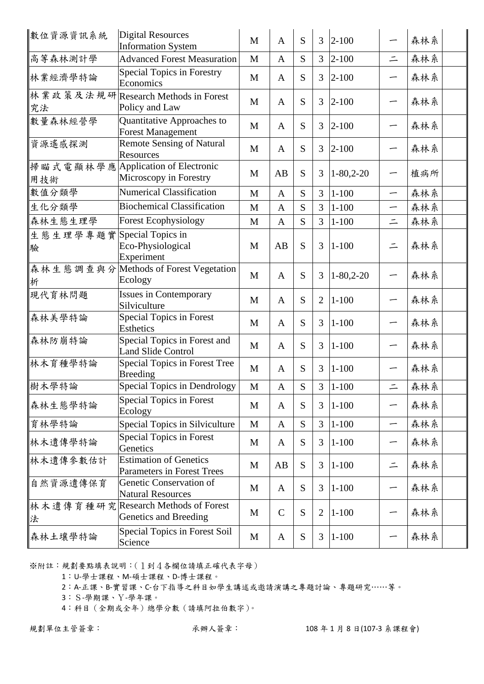| 數位資源資訊系統                        | <b>Digital Resources</b><br><b>Information System</b>        | M | $\overline{A}$ | S | 3              | $2 - 100$        |          | 森林系 |  |
|---------------------------------|--------------------------------------------------------------|---|----------------|---|----------------|------------------|----------|-----|--|
| 高等森林測計學                         | <b>Advanced Forest Measuration</b>                           | M | $\mathbf{A}$   | S | 3              | $2 - 100$        | $\equiv$ | 森林系 |  |
| 林業經濟學特論                         | <b>Special Topics in Forestry</b><br>Economics               | M | $\mathbf{A}$   | S | 3              | $2 - 100$        |          | 森林系 |  |
| 究法                              | 林業政策及法規研 Research Methods in Forest<br>Policy and Law        | M | $\mathbf{A}$   | S | 3              | $2 - 100$        |          | 森林系 |  |
| 數量森林經營學                         | Quantitative Approaches to<br><b>Forest Management</b>       | M | $\mathbf{A}$   | S | 3              | $2 - 100$        |          | 森林系 |  |
| 資源遙感探測                          | <b>Remote Sensing of Natural</b><br>Resources                | M | $\mathbf{A}$   | S | 3              | $ 2 - 100$       |          | 森林系 |  |
| 用技術                             | 掃瞄式電顯林學應 Application of Electronic<br>Microscopy in Forestry | M | AB             | S | 3              | $1 - 80, 2 - 20$ |          | 植病所 |  |
| 數值分類學                           | <b>Numerical Classification</b>                              | M | $\mathbf{A}$   | S | 3              | $1 - 100$        | —        | 森林系 |  |
| 生化分類學                           | <b>Biochemical Classification</b>                            | M | $\mathbf{A}$   | S | 3              | $1 - 100$        | —        | 森林系 |  |
| 森林生態生理學                         | <b>Forest Ecophysiology</b>                                  | M | $\mathbf{A}$   | S | 3              | $1 - 100$        | $\equiv$ | 森林系 |  |
| 生態生理學專題實 Special Topics in<br>驗 | Eco-Physiological<br>Experiment                              | M | AB             | S | 3              | $1 - 100$        | $\equiv$ | 森林系 |  |
| 析                               | 森林生態調查與分 Methods of Forest Vegetation<br>Ecology             | M | $\mathbf{A}$   | S | 3              | $1 - 80, 2 - 20$ |          | 森林系 |  |
| 現代育林問題                          | <b>Issues in Contemporary</b><br>Silviculture                | M | $\mathbf{A}$   | S | $\overline{2}$ | $1 - 100$        |          | 森林系 |  |
| 森林美學特論                          | <b>Special Topics in Forest</b><br><b>Esthetics</b>          | M | $\mathbf{A}$   | S | 3              | $1 - 100$        | -        | 森林系 |  |
| 森林防崩特論                          | Special Topics in Forest and<br><b>Land Slide Control</b>    | M | $\mathbf{A}$   | S | 3              | $1 - 100$        |          | 森林系 |  |
| 林木育種學特論                         | Special Topics in Forest Tree<br><b>Breeding</b>             | M | $\mathbf{A}$   | S | 3              | $1 - 100$        |          | 森林系 |  |
| 樹木學特論                           | Special Topics in Dendrology                                 | M | $\mathbf{A}$   | S | 3              | $ 1 - 100$       | $\equiv$ | 森林系 |  |
| 森林生態學特論                         | <b>Special Topics in Forest</b><br>Ecology                   | M | $\mathbf{A}$   | S | 3              | $1 - 100$        | -        | 森林系 |  |
| 育林學特論                           | Special Topics in Silviculture                               | M | $\mathbf{A}$   | S | 3              | $1 - 100$        | —        | 森林系 |  |
| 林木遺傳學特論                         | <b>Special Topics in Forest</b><br>Genetics                  | M | $\mathbf{A}$   | S | 3              | $1 - 100$        |          | 森林系 |  |
| 林木遺傳參數估計                        | <b>Estimation of Genetics</b><br>Parameters in Forest Trees  | M | AB             | S | 3              | $1 - 100$        | $\equiv$ | 森林系 |  |
| 自然資源遺傳保育                        | Genetic Conservation of<br><b>Natural Resources</b>          | M | A              | S | 3              | $1 - 100$        |          | 森林系 |  |
| 法                               | 林木遺傳育種研究 Research Methods of Forest<br>Genetics and Breeding | M | $\mathcal{C}$  | S | $\overline{2}$ | $1 - 100$        |          | 森林系 |  |
| 森林土壤學特論                         | Special Topics in Forest Soil<br>Science                     | M | A              | S | 3              | $1 - 100$        |          | 森林系 |  |

1:U‐學士課程、M‐碩士課程、D‐博士課程。

2:A‐正課、B‐實習課、C‐台下指導之科目如學生講述或邀請演講之專題討論、專題研究……等。

3:S‐學期課、Y‐學年課。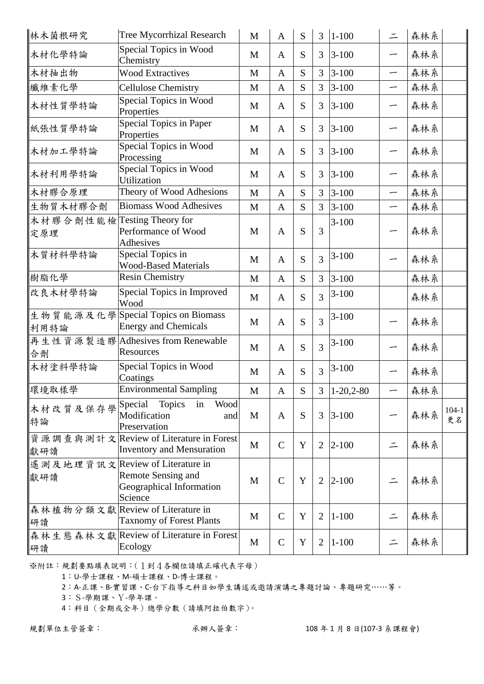| 林木菌根研究                             | <b>Tree Mycorrhizal Research</b>                                                                     | $\mathbf{M}$ | A            | S | $\overline{3}$ | $1 - 100$     | $\equiv$                 | 森林系 |               |
|------------------------------------|------------------------------------------------------------------------------------------------------|--------------|--------------|---|----------------|---------------|--------------------------|-----|---------------|
| 木材化學特論                             | Special Topics in Wood<br>Chemistry                                                                  | M            | A            | S | 3              | $3 - 100$     | —                        | 森林系 |               |
| 木材抽出物                              | <b>Wood Extractives</b>                                                                              | M            | $\mathbf{A}$ | S | 3              | $3 - 100$     | —                        | 森林系 |               |
| 纖維素化學                              | <b>Cellulose Chemistry</b>                                                                           | M            | $\mathbf{A}$ | S | $\overline{3}$ | $3 - 100$     | —                        | 森林系 |               |
| 木材性質學特論                            | Special Topics in Wood<br>Properties                                                                 | M            | $\mathbf{A}$ | S | $\overline{3}$ | $3 - 100$     | ∽                        | 森林系 |               |
| 紙張性質學特論                            | Special Topics in Paper<br>Properties                                                                | M            | $\mathbf{A}$ | S | 3              | $3 - 100$     | —                        | 森林系 |               |
| 木材加工學特論                            | Special Topics in Wood<br>Processing                                                                 | M            | $\mathbf{A}$ | S | 3              | $3 - 100$     | —                        | 森林系 |               |
| 木材利用學特論                            | Special Topics in Wood<br>Utilization                                                                | M            | $\mathbf{A}$ | S | 3              | $3 - 100$     |                          | 森林系 |               |
| 木材膠合原理                             | Theory of Wood Adhesions                                                                             | M            | $\mathbf{A}$ | S | $\overline{3}$ | $3 - 100$     | $\overline{\phantom{0}}$ | 森林系 |               |
| 生物質木材膠合劑                           | <b>Biomass Wood Adhesives</b>                                                                        | M            | $\mathbf{A}$ | S | 3              | $3 - 100$     | —                        | 森林系 |               |
| 木材膠合劑性能檢 Testing Theory for<br>定原理 | Performance of Wood<br>Adhesives                                                                     | M            | $\mathbf{A}$ | S | 3              | $3 - 100$     |                          | 森林系 |               |
| 木質材料學特論                            | Special Topics in<br><b>Wood-Based Materials</b>                                                     | M            | $\mathbf{A}$ | S | $\overline{3}$ | $3 - 100$     |                          | 森林系 |               |
| 樹脂化學                               | <b>Resin Chemistry</b>                                                                               | M            | $\mathbf{A}$ | S | 3              | $3 - 100$     |                          | 森林系 |               |
| 改良木材學特論                            | Special Topics in Improved<br>Wood                                                                   | M            | $\mathbf{A}$ | S | $\overline{3}$ | $3 - 100$     |                          | 森林系 |               |
| 利用特論                               | 生物質能源及化學Special Topics on Biomass<br><b>Energy and Chemicals</b>                                     | M            | $\mathbf{A}$ | S | 3              | $3 - 100$     |                          | 森林系 |               |
| 合劑                                 | 再生性資源製造膠 Adhesives from Renewable<br>Resources                                                       | M            | $\mathbf{A}$ | S | $\overline{3}$ | $3 - 100$     |                          | 森林系 |               |
| 木材塗料學特論                            | Special Topics in Wood<br>Coatings                                                                   | M            | $\mathbf{A}$ | S | $\overline{3}$ | $3 - 100$     | -                        | 森林系 |               |
| 環境取樣學                              | Environmental Sampling                                                                               | M            | A            | S |                | $3 1-20,2-80$ |                          | 森林系 |               |
| 木材改質及保存學<br>特論                     | Special<br>Topics<br>in<br>Wood<br>Modification<br>and<br>Preservation                               | M            | A            | S | 3              | $3 - 100$     |                          | 森林系 | $104-1$<br>更名 |
| 獻研讀                                | 資源調查與測計文 Review of Literature in Forest<br><b>Inventory and Mensuration</b>                          | M            | $\mathsf{C}$ | Y | $\overline{2}$ | $ 2 - 100$    | $\equiv$                 | 森林系 |               |
| 獻研讀                                | 遙測及地理資訊文 Review of Literature in<br><b>Remote Sensing and</b><br>Geographical Information<br>Science | M            | $\mathbf C$  | Y | $\overline{2}$ | $2 - 100$     | 二                        | 森林系 |               |
| 研讀                                 | 森林植物分類文獻 Review of Literature in<br><b>Taxnomy of Forest Plants</b>                                  | M            | $\mathbf C$  | Y | $\overline{2}$ | $1 - 100$     | $\equiv$                 | 森林系 |               |
| 研讀                                 | 森林生態森林文獻 Review of Literature in Forest<br>Ecology                                                   | M            | $\mathsf{C}$ | Y | $\overline{2}$ | $1 - 100$     | $\equiv$                 | 森林系 |               |

1:U‐學士課程、M‐碩士課程、D‐博士課程。

2:A‐正課、B‐實習課、C‐台下指導之科目如學生講述或邀請演講之專題討論、專題研究……等。

3:S‐學期課、Y‐學年課。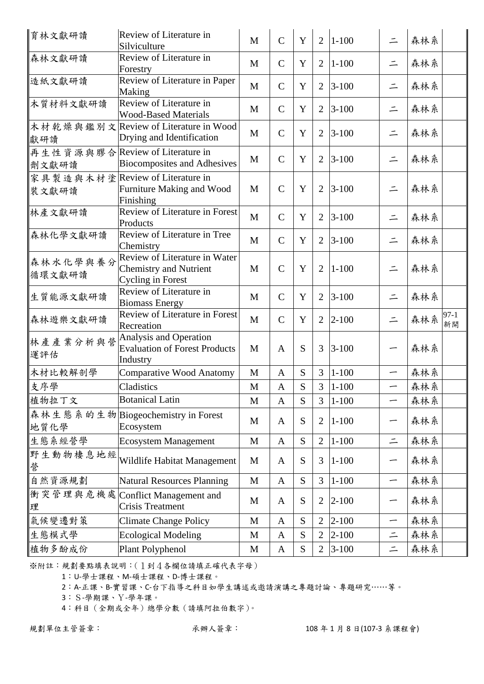| 育林文獻研讀             | Review of Literature in<br>Silviculture                                                    | $\mathbf{M}$ | $\overline{C}$ | $\mathbf Y$ | $\overline{2}$ | $1 - 100$ | $\equiv$                 | 森林系 |              |
|--------------------|--------------------------------------------------------------------------------------------|--------------|----------------|-------------|----------------|-----------|--------------------------|-----|--------------|
| 森林文獻研讀             | Review of Literature in<br>Forestry                                                        | M            | $\mathcal{C}$  | Y           | 2              | $1 - 100$ | $\equiv$                 | 森林系 |              |
| 造紙文獻研讀             | Review of Literature in Paper<br>Making                                                    | M            | $\overline{C}$ | Y           | 2              | $3 - 100$ | $\equiv$                 | 森林系 |              |
| 木質材料文獻研讀           | Review of Literature in<br><b>Wood-Based Materials</b>                                     | M            | $\mathsf{C}$   | Y           | $\overline{2}$ | $3 - 100$ | $\equiv$                 | 森林系 |              |
| 獻研讀                | 木材乾燥與鑑別文Review of Literature in Wood<br>Drying and Identification                          | M            | $\mathbf C$    | Y           | $\overline{2}$ | $3 - 100$ | $\equiv$                 | 森林系 |              |
| 劑文獻研讀              | 再生性資源與膠合 Review of Literature in<br><b>Biocomposites and Adhesives</b>                     | M            | $\overline{C}$ | Y           | $\overline{2}$ | $3 - 100$ | $\equiv$                 | 森林系 |              |
| 裝文獻研讀              | 家具製造與木材塗 Review of Literature in<br>Furniture Making and Wood<br>Finishing                 | M            | $\mathcal{C}$  | Y           | 2              | $3 - 100$ | $\equiv$                 | 森林系 |              |
| 林產文獻研讀             | Review of Literature in Forest<br>Products                                                 | M            | $\overline{C}$ | Y           | 2              | $3 - 100$ | $\equiv$                 | 森林系 |              |
| 森林化學文獻研讀           | Review of Literature in Tree<br>Chemistry                                                  | M            | $\mathbf C$    | Y           | $\overline{2}$ | $3 - 100$ | $\equiv$                 | 森林系 |              |
| 森林水化學與養分<br>循環文獻研讀 | Review of Literature in Water<br><b>Chemistry and Nutrient</b><br><b>Cycling in Forest</b> | M            | $\overline{C}$ | Y           | $\overline{2}$ | $1 - 100$ | $\equiv$                 | 森林系 |              |
| 生質能源文獻研讀           | Review of Literature in<br><b>Biomass Energy</b>                                           | M            | $\mathbf C$    | Y           | $\overline{2}$ | $3 - 100$ | $\equiv$                 | 森林系 |              |
| 森林遊樂文獻研讀           | Review of Literature in Forest<br>Recreation                                               | M            | $\overline{C}$ | Y           | 2              | $2 - 100$ | $\equiv$                 | 森林系 | $97-1$<br>新開 |
| 林產產業分析與營<br>運評估    | Analysis and Operation<br><b>Evaluation of Forest Products</b><br>Industry                 | M            | $\mathbf{A}$   | S           | 3              | $3 - 100$ |                          | 森林系 |              |
| 木材比較解剖學            | <b>Comparative Wood Anatomy</b>                                                            | $\mathbf M$  | A              | S           | $\overline{3}$ | $1 - 100$ | —                        | 森林系 |              |
| 支序學                | Cladistics                                                                                 | M            | $\mathbf{A}$   | S           | $\overline{3}$ | $1 - 100$ |                          | 森林系 |              |
| 植物拉丁文              | <b>Botanical Latin</b>                                                                     | $\mathbf M$  | A              | S           | $\overline{3}$ | $1 - 100$ | —                        | 森林系 |              |
| 地質化學               | 森林生態系的生物 Biogeochemistry in Forest<br>Ecosystem                                            | M            | $\mathbf{A}$   | S           | $\overline{2}$ | $1 - 100$ |                          | 森林系 |              |
| 生態系經營學             | <b>Ecosystem Management</b>                                                                | M            | $\mathbf{A}$   | S           | $\overline{2}$ | $1 - 100$ | $\equiv$                 | 森林系 |              |
| 野生動物棲息地經<br>營      | Wildlife Habitat Management                                                                | M            | A              | S           | 3              | $1 - 100$ |                          | 森林系 |              |
| 自然資源規劃             | <b>Natural Resources Planning</b>                                                          | M            | $\mathbf{A}$   | S           | 3              | $1 - 100$ | —                        | 森林系 |              |
| 理                  | 衝突管理與危機處 Conflict Management and<br><b>Crisis Treatment</b>                                | M            | A              | ${\bf S}$   | $\overline{2}$ | $2 - 100$ |                          | 森林系 |              |
| 氣候變遷對策             | <b>Climate Change Policy</b>                                                               | M            | $\mathbf{A}$   | S           | $\overline{2}$ | $2 - 100$ | $\overline{\phantom{0}}$ | 森林系 |              |
| 生態模式學              | <b>Ecological Modeling</b>                                                                 | M            | $\mathbf{A}$   | S           | $\overline{2}$ | $2 - 100$ | $\equiv$                 | 森林系 |              |
| 植物多酚成份             | Plant Polyphenol                                                                           | M            | $\mathbf{A}$   | S           | $\overline{2}$ | $3 - 100$ | $\equiv$                 | 森林系 |              |

1:U‐學士課程、M‐碩士課程、D‐博士課程。

2:A‐正課、B‐實習課、C‐台下指導之科目如學生講述或邀請演講之專題討論、專題研究……等。

3:S‐學期課、Y‐學年課。